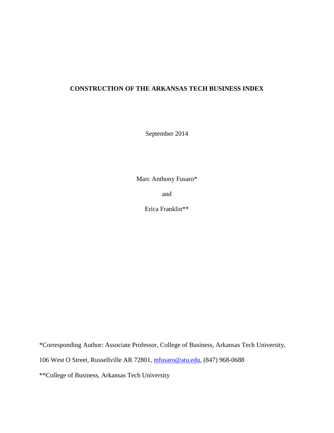# **CONSTRUCTION OF THE ARKANSAS TECH BUSINESS INDEX**

September 2014

Marc Anthony Fusaro\*

and

Erica Franklin\*\*

\*Corresponding Author: Associate Professor, College of Business, Arkansas Tech University,

106 West O Street, Russellville AR 72801, [mfusaro@atu.edu,](mailto:mfusaro@atu.edu) (847) 968-0688

\*\*College of Business, Arkansas Tech University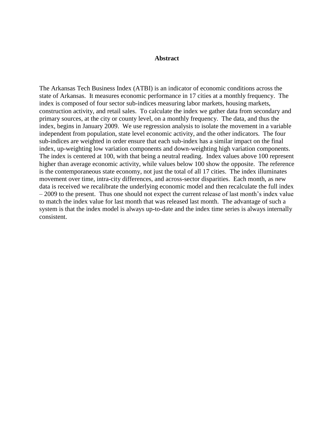#### **Abstract**

The Arkansas Tech Business Index (ATBI) is an indicator of economic conditions across the state of Arkansas. It measures economic performance in 17 cities at a monthly frequency. The index is composed of four sector sub-indices measuring labor markets, housing markets, construction activity, and retail sales. To calculate the index we gather data from secondary and primary sources, at the city or county level, on a monthly frequency. The data, and thus the index, begins in January 2009. We use regression analysis to isolate the movement in a variable independent from population, state level economic activity, and the other indicators. The four sub-indices are weighted in order ensure that each sub-index has a similar impact on the final index, up-weighting low variation components and down-weighting high variation components. The index is centered at 100, with that being a neutral reading. Index values above 100 represent higher than average economic activity, while values below 100 show the opposite. The reference is the contemporaneous state economy, not just the total of all 17 cities. The index illuminates movement over time, intra-city differences, and across-sector disparities. Each month, as new data is received we recalibrate the underlying economic model and then recalculate the full index – 2009 to the present. Thus one should not expect the current release of last month's index value to match the index value for last month that was released last month. The advantage of such a system is that the index model is always up-to-date and the index time series is always internally consistent.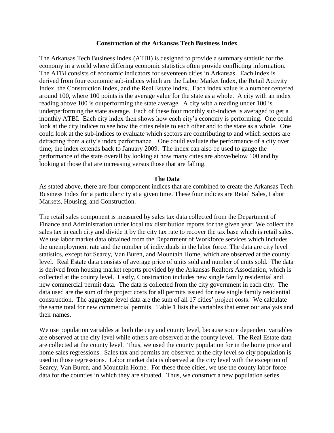#### **Construction of the Arkansas Tech Business Index**

The Arkansas Tech Business Index (ATBI) is designed to provide a summary statistic for the economy in a world where differing economic statistics often provide conflicting information. The ATBI consists of economic indicators for seventeen cities in Arkansas. Each index is derived from four economic sub-indices which are the Labor Market Index, the Retail Activity Index, the Construction Index, and the Real Estate Index. Each index value is a number centered around 100, where 100 points is the average value for the state as a whole. A city with an index reading above 100 is outperforming the state average. A city with a reading under 100 is underperforming the state average. Each of these four monthly sub-indices is averaged to get a monthly ATBI. Each city index then shows how each city's economy is performing. One could look at the city indices to see how the cities relate to each other and to the state as a whole. One could look at the sub-indices to evaluate which sectors are contributing to and which sectors are detracting from a city's index performance. One could evaluate the performance of a city over time; the index extends back to January 2009. The index can also be used to gauge the performance of the state overall by looking at how many cities are above/below 100 and by looking at those that are increasing versus those that are falling.

#### **The Data**

As stated above, there are four component indices that are combined to create the Arkansas Tech Business Index for a particular city at a given time. These four indices are Retail Sales, Labor Markets, Housing, and Construction.

The retail sales component is measured by sales tax data collected from the Department of Finance and Administration under local tax distribution reports for the given year. We collect the sales tax in each city and divide it by the city tax rate to recover the tax base which is retail sales. We use labor market data obtained from the Department of Workforce services which includes the unemployment rate and the number of individuals in the labor force. The data are city level statistics, except for Searcy, Van Buren, and Mountain Home, which are observed at the county level. Real Estate data consists of average price of units sold and number of units sold. The data is derived from housing market reports provided by the Arkansas Realtors Association, which is collected at the county level. Lastly, Construction includes new single family residential and new commercial permit data. The data is collected from the city government in each city. The data used are the sum of the project costs for all permits issued for new single family residential construction. The aggregate level data are the sum of all 17 cities' project costs. We calculate the same total for new commercial permits. Table 1 lists the variables that enter our analysis and their names.

We use population variables at both the city and county level, because some dependent variables are observed at the city level while others are observed at the county level. The Real Estate data are collected at the county level. Thus, we used the county population for in the home price and home sales regressions. Sales tax and permits are observed at the city level so city population is used in those regressions. Labor market data is observed at the city level with the exception of Searcy, Van Buren, and Mountain Home. For these three cities, we use the county labor force data for the counties in which they are situated. Thus, we construct a new population series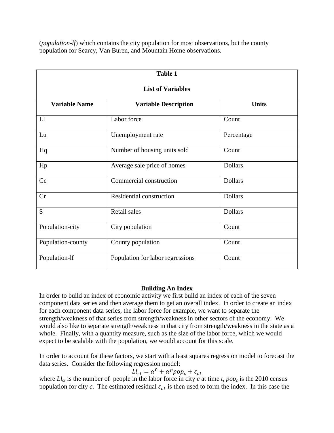(*population-lf*) which contains the city population for most observations, but the county population for Searcy, Van Buren, and Mountain Home observations.

| <b>Table 1</b>           |                                  |                |  |  |  |  |
|--------------------------|----------------------------------|----------------|--|--|--|--|
| <b>List of Variables</b> |                                  |                |  |  |  |  |
| <b>Variable Name</b>     | <b>Variable Description</b>      | <b>Units</b>   |  |  |  |  |
| L1                       | Labor force                      | Count          |  |  |  |  |
| Lu                       | Unemployment rate                | Percentage     |  |  |  |  |
| Hq                       | Number of housing units sold     | Count          |  |  |  |  |
| Hp                       | Average sale price of homes      | <b>Dollars</b> |  |  |  |  |
| Cc                       | Commercial construction          | <b>Dollars</b> |  |  |  |  |
| Cr                       | Residential construction         | <b>Dollars</b> |  |  |  |  |
| S                        | Retail sales                     | <b>Dollars</b> |  |  |  |  |
| Population-city          | City population                  | Count          |  |  |  |  |
| Population-county        | County population                | Count          |  |  |  |  |
| Population-lf            | Population for labor regressions | Count          |  |  |  |  |

## **Building An Index**

In order to build an index of economic activity we first build an index of each of the seven component data series and then average them to get an overall index. In order to create an index for each component data series, the labor force for example, we want to separate the strength/weakness of that series from strength/weakness in other sectors of the economy. We would also like to separate strength/weakness in that city from strength/weakness in the state as a whole. Finally, with a quantity measure, such as the size of the labor force, which we would expect to be scalable with the population, we would account for this scale.

In order to account for these factors, we start with a least squares regression model to forecast the data series. Consider the following regression model:

$$
Ll_{ct} = \alpha^0 + \alpha^p p \circ p_c + \varepsilon_{ct}
$$

where  $LI_{ct}$  is the number of people in the labor force in city *c* at time *t*,  $pop_c$  is the 2010 census population for city *c*. The estimated residual  $\varepsilon_{ct}$  is then used to form the index. In this case the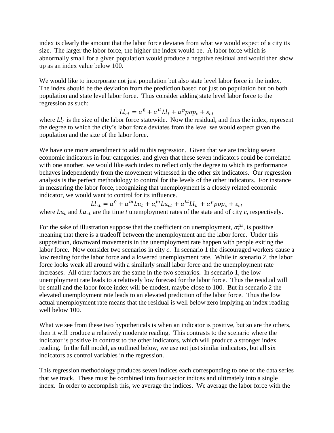index is clearly the amount that the labor force deviates from what we would expect of a city its size. The larger the labor force, the higher the index would be. A labor force which is abnormally small for a given population would produce a negative residual and would then show up as an index value below 100.

We would like to incorporate not just population but also state level labor force in the index. The index should be the deviation from the prediction based not just on population but on both population and state level labor force. Thus consider adding state level labor force to the regression as such:

$$
Ll_{ct} = \alpha^0 + \alpha^{ll} Ll_t + \alpha^p p \circ p_c + \varepsilon_{ct}
$$

where  $LI_t$  is the size of the labor force statewide. Now the residual, and thus the index, represent the degree to which the city's labor force deviates from the level we would expect given the population and the size of the labor force.

We have one more amendment to add to this regression. Given that we are tracking seven economic indicators in four categories, and given that these seven indicators could be correlated with one another, we would like each index to reflect only the degree to which its performance behaves independently from the movement witnessed in the other six indicators. Our regression analysis is the perfect methodology to control for the levels of the other indicators. For instance in measuring the labor force, recognizing that unemployment is a closely related economic indicator, we would want to control for its influence.

 $Ll_{ct} = \alpha^0 + \alpha^{lu} L u_t + \alpha_c^{lu} L u_{ct} + \alpha^{Ll} L l_t + \alpha^p$ where  $Lu_t$  and  $Lu_{ct}$  are the time *t* unemployment rates of the state and of city *c*, respectively.

For the sake of illustration suppose that the coefficient on unemployment,  $\alpha_c^{lu}$ , is positive meaning that there is a tradeoff between the unemployment and the labor force. Under this supposition, downward movements in the unemployment rate happen with people exiting the labor force. Now consider two scenarios in city *c*. In scenario 1 the discouraged workers cause a low reading for the labor force and a lowered unemployment rate. While in scenario 2, the labor force looks weak all around with a similarly small labor force and the unemployment rate increases. All other factors are the same in the two scenarios. In scenario 1, the low unemployment rate leads to a relatively low forecast for the labor force. Thus the residual will be small and the labor force index will be modest, maybe close to 100. But in scenario 2 the elevated unemployment rate leads to an elevated prediction of the labor force. Thus the low actual unemployment rate means that the residual is well below zero implying an index reading well below 100.

What we see from these two hypotheticals is when an indicator is positive, but so are the others, then it will produce a relatively moderate reading. This contrasts to the scenario where the indicator is positive in contrast to the other indicators, which will produce a stronger index reading. In the full model, as outlined below, we use not just similar indicators, but all six indicators as control variables in the regression.

This regression methodology produces seven indices each corresponding to one of the data series that we track. These must be combined into four sector indices and ultimately into a single index. In order to accomplish this, we average the indices. We average the labor force with the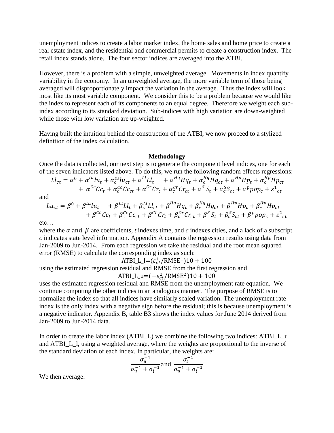unemployment indices to create a labor market index, the home sales and home price to create a real estate index, and the residential and commercial permits to create a construction index. The retail index stands alone. The four sector indices are averaged into the ATBI.

However, there is a problem with a simple, unweighted average. Movements in index quantify variability in the economy. In an unweighted average, the more variable term of those being averaged will disproportionately impact the variation in the average. Thus the index will look most like its most variable component. We consider this to be a problem because we would like the index to represent each of its components to an equal degree. Therefore we weight each subindex according to its standard deviation. Sub-indices with high variation are down-weighted while those with low variation are up-weighted.

Having built the intuition behind the construction of the ATBI, we now proceed to a stylized definition of the index calculation.

### **Methodology**

Once the data is collected, our next step is to generate the component level indices, one for each of the seven indicators listed above. To do this, we run the following random effects regressions:

$$
Ll_{ct} = \alpha^0 + \alpha^{lu}l u_t + \alpha_c^{lu}l u_{ct} + \alpha^{Ll}l l_t + \alpha^{Hq} H q_t + \alpha_c^{Hq} H q_{ct} + \alpha^{Hp} H p_t + \alpha_c^{Hp} H p_{ct}
$$
  
+ 
$$
\alpha^{Cc}Cc_t + \alpha_c^{Cc}Cc_{ct} + \alpha^{Cr}Cr_t + \alpha_c^{Cr}Cr_{ct} + \alpha^S S_t + \alpha_c^S S_{ct} + \alpha^p pop_c + \epsilon^1_{ct}
$$

and

$$
Lu_{ct} = \beta^0 + \beta^{lu}lu_t + \beta^{LL}li_t + \beta_c^{LL}li_{ct} + \beta^{Hq}Hq_t + \beta_c^{Hq}Hq_{ct} + \beta^{Hp}Hp_t + \beta_c^{Hp}Hp_{ct}
$$
  
+ 
$$
\beta^{Cc}Cc_t + \beta_c^{Cc}Cc_{ct} + \beta^{Cr}Cr_t + \beta_c^{Cr}Cr_{ct} + \beta^S S_t + \beta_c^S S_{ct} + \beta^p pop_c + \varepsilon^2_{ct}
$$

etc…

where the  $\alpha$  and  $\beta$  are coefficients, *t* indexes time, and *c* indexes cities, and a lack of a subscript *c* indicates state level information. Appendix A contains the regression results using data from Jan-2009 to Jun-2014. From each regression we take the residual and the root mean squared error (RMSE) to calculate the corresponding index as such:

ATBI\_L\_l= $(\varepsilon_{ct}^1/\text{RMSE}^1)$ 

using the estimated regression residual and RMSE from the first regression and

 $ATBI_L_u = (-\varepsilon_{ct}^2 / RMSE^2)$ 

uses the estimated regression residual and RMSE from the unemployment rate equation. We continue computing the other indices in an analogous manner. The purpose of RMSE is to normalize the index so that all indices have similarly scaled variation. The unemployment rate index is the only index with a negative sign before the residual; this is because unemployment is a negative indicator. Appendix B, table B3 shows the index values for June 2014 derived from Jan-2009 to Jun-2014 data.

In order to create the labor index (ATBI\_L) we combine the following two indices: ATBI\_L\_u and ATBIL 1, using a weighted average, where the weights are proportional to the inverse of the standard deviation of each index. In particular, the weights are:

$$
\frac{\sigma_u^{-1}}{\sigma_u^{-1} + \sigma_l^{-1}}
$$
 and  $\frac{\sigma_l^{-1}}{\sigma_u^{-1} + \sigma_l^{-1}}$ 

We then average: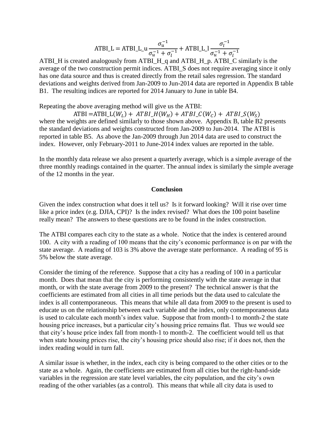$$
\text{ATBI\_L} = \text{ATBI\_L\_u} \frac{\sigma_u^{-1}}{\sigma_u^{-1} + \sigma_l^{-1}} + \text{ATBI\_L\_l} \frac{\sigma_l^{-1}}{\sigma_u^{-1} + \sigma_l^{-1}}
$$

ATBI\_H is created analogously from ATBI\_H\_q and ATBI\_H\_p. ATBI\_C similarly is the average of the two construction permit indices. ATBI\_S does not require averaging since it only has one data source and thus is created directly from the retail sales regression. The standard deviations and weights derived from Jan-2009 to Jun-2014 data are reported in Appendix B table B1. The resulting indices are reported for 2014 January to June in table B4.

Repeating the above averaging method will give us the ATBI:

ATBI = ATBI\_L $(W_L)$  + ATBI\_H $(W_H)$  + ATBI\_C $(W_C)$ where the weights are defined similarly to those shown above. Appendix B, table B2 presents the standard deviations and weights constructed from Jan-2009 to Jun-2014. The ATBI is reported in table B5. As above the Jan-2009 through Jun 2014 data are used to construct the index. However, only February-2011 to June-2014 index values are reported in the table.

In the monthly data release we also present a quarterly average, which is a simple average of the three monthly readings contained in the quarter. The annual index is similarly the simple average of the 12 months in the year.

## **Conclusion**

Given the index construction what does it tell us? Is it forward looking? Will it rise over time like a price index (e.g. DJIA, CPI)? Is the index revised? What does the 100 point baseline really mean? The answers to these questions are to be found in the index construction.

The ATBI compares each city to the state as a whole. Notice that the index is centered around 100. A city with a reading of 100 means that the city's economic performance is on par with the state average. A reading of 103 is 3% above the average state performance. A reading of 95 is 5% below the state average.

Consider the timing of the reference. Suppose that a city has a reading of 100 in a particular month. Does that mean that the city is performing consistently with the state average in that month, or with the state average from 2009 to the present? The technical answer is that the coefficients are estimated from all cities in all time periods but the data used to calculate the index is all contemporaneous. This means that while all data from 2009 to the present is used to educate us on the relationship between each variable and the index, only contemporaneous data is used to calculate each month's index value. Suppose that from month-1 to month-2 the state housing price increases, but a particular city's housing price remains flat. Thus we would see that city's house price index fall from month-1 to month-2. The coefficient would tell us that when state housing prices rise, the city's housing price should also rise; if it does not, then the index reading would in turn fall.

A similar issue is whether, in the index, each city is being compared to the other cities or to the state as a whole. Again, the coefficients are estimated from all cities but the right-hand-side variables in the regression are state level variables, the city population, and the city's own reading of the other variables (as a control). This means that while all city data is used to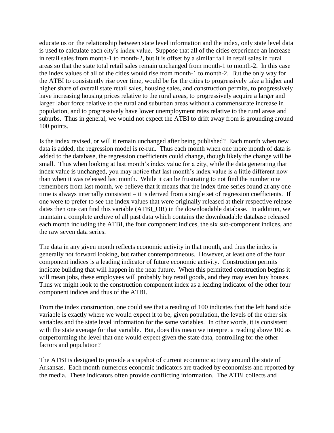educate us on the relationship between state level information and the index, only state level data is used to calculate each city's index value. Suppose that all of the cities experience an increase in retail sales from month-1 to month-2, but it is offset by a similar fall in retail sales in rural areas so that the state total retail sales remain unchanged from month-1 to month-2. In this case the index values of all of the cities would rise from month-1 to month-2. But the only way for the ATBI to consistently rise over time, would be for the cities to progressively take a higher and higher share of overall state retail sales, housing sales, and construction permits, to progressively have increasing housing prices relative to the rural areas, to progressively acquire a larger and larger labor force relative to the rural and suburban areas without a commensurate increase in population, and to progressively have lower unemployment rates relative to the rural areas and suburbs. Thus in general, we would not expect the ATBI to drift away from is grounding around 100 points.

Is the index revised, or will it remain unchanged after being published? Each month when new data is added, the regression model is re-run. Thus each month when one more month of data is added to the database, the regression coefficients could change, though likely the change will be small. Thus when looking at last month's index value for a city, while the data generating that index value is unchanged, you may notice that last month's index value is a little different now than when it was released last month. While it can be frustrating to not find the number one remembers from last month, we believe that it means that the index time series found at any one time is always internally consistent – it is derived from a single set of regression coefficients. If one were to prefer to see the index values that were originally released at their respective release dates then one can find this variable (ATBI\_OR) in the downloadable database. In addition, we maintain a complete archive of all past data which contains the downloadable database released each month including the ATBI, the four component indices, the six sub-component indices, and the raw seven data series.

The data in any given month reflects economic activity in that month, and thus the index is generally not forward looking, but rather contemporaneous. However, at least one of the four component indices is a leading indicator of future economic activity. Construction permits indicate building that will happen in the near future. When this permitted construction begins it will mean jobs, these employees will probably buy retail goods, and they may even buy houses. Thus we might look to the construction component index as a leading indicator of the other four component indices and thus of the ATBI.

From the index construction, one could see that a reading of 100 indicates that the left hand side variable is exactly where we would expect it to be, given population, the levels of the other six variables and the state level information for the same variables. In other words, it is consistent with the state average for that variable. But, does this mean we interpret a reading above 100 as outperforming the level that one would expect given the state data, controlling for the other factors and population?

The ATBI is designed to provide a snapshot of current economic activity around the state of Arkansas. Each month numerous economic indicators are tracked by economists and reported by the media. These indicators often provide conflicting information. The ATBI collects and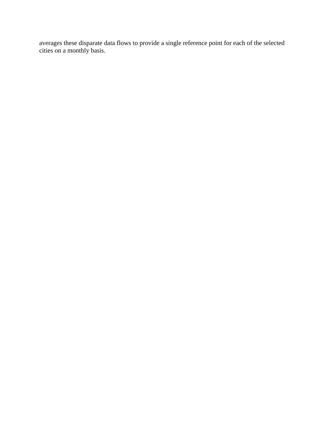averages these disparate data flows to provide a single reference point for each of the selected cities on a monthly basis.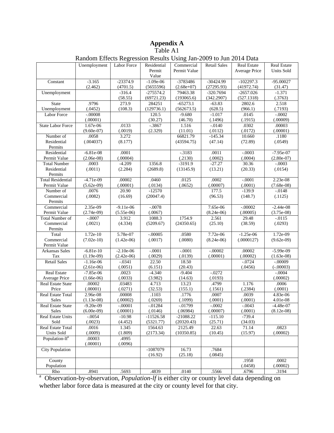# **Appendix A**

# Table A1

## Random Effects Regression Results Using Jan-2009 to Jun 2014 Data

|                                     | Unemployment        | Labor Force            | Residential<br>Permit<br>Value | Commercial<br>Permit Value | <b>Retail Sales</b>       | Real Estate<br>Average Price | Real Estate<br>Units Sold |
|-------------------------------------|---------------------|------------------------|--------------------------------|----------------------------|---------------------------|------------------------------|---------------------------|
| Constant                            | $-3.165$<br>(2.462) | $-23374.9$<br>(4701.5) | $-1.09e-06$<br>(5655596)       | -3783486<br>$(2.68e+07)$   | $-30424.99$<br>(27295.93) | $-102297.3$<br>(41972.74)    | $-95.00027$<br>(31.47)    |
| Unemployment                        |                     | $-316.4$<br>(58.55)    | $-275574.2$<br>(69721.23)      | 79463.38<br>(193065.6)     | $-320.7694$<br>(342.2907) | $-2657.026$<br>(527.1318)    | $-1.371$<br>(.3763)       |
| <b>State</b>                        | .9796               | 273.9                  | 284251                         | $-65273.1$                 | $-63.83$                  | 2802.6                       | 2.518                     |
| Unemployment                        | (.0452)             | (108.3)                | (129736.1)                     | (562673.5)                 | (628.5)                   | (966.1)                      | (.7193)                   |
| Labor Force                         | $-.00008$           |                        | 120.5                          | $-9.680$                   | $-1.017$                  | .0145                        | $-.0002$                  |
|                                     | (.00001)            |                        | (30.27)                        | (46.70)                    | (.1496)                   | (.1915)                      | (.00009)                  |
| <b>State Labor Force</b>            | 1.67e-06            | .0133                  | $-.3867$                       | 1.516                      | $-.0140$                  | .0302                        | .00003                    |
|                                     | $(9.60e-07)$        | (.0019)                | (2.329)                        | (11.01)                    | (.0112)                   | (.0172)                      | (.00001)                  |
| Number of<br>Residential<br>Permits | .0058<br>(.004037)  | 3.272<br>(8.177)       |                                | 66821.79<br>(43594.75)     | $-145.34$<br>(47.14)      | 10.660<br>(72.89)            | .1180<br>(.0549)          |
| Residential                         | $-6.81e-08$         | .0001                  |                                | $-3183$                    | .0011                     | $-.0003$                     | $-7.95e-07$               |
| Permit Value                        | $(2.06e-08)$        | (.00004)               |                                | (.2130)                    | (.0002)                   | (.0004)                      | $(2.80e-07)$              |
| <b>Total Number</b>                 | .0003               | $-4.209$               | 1356.8                         | $-3191.9$                  | $-27.27$                  | 30.36                        | $-.0003$                  |
| Residential<br>Permits              | (.0011)             | (2.284)                | (2689.8)                       | (13145.9)                  | (13.21)                   | (20.33)                      | (.0154)                   |
| <b>Total Residential</b>            | $-4.71e-09$         | .00002                 | .0460                          | .0125                      | .0002                     | $-.0001$                     | 2.23e-08                  |
| Permit Value                        | $(5.62e-09)$        | (.00001)               | (.0134)                        | (.0652)                    | (.00007)                  | (.0001)                      | $(7.68e-08)$              |
| Number of                           | .0076               | 20.90                  | $-12570$                       |                            | 177.5                     | $-139.9$                     | $-.0148$                  |
| Commercial<br>Permits               | (.0082)             | (16.69)                | (20047.4)                      |                            | (96.53)                   | (148.7)                      | (.1125)                   |
| Commercial                          | 2.35e-09            | $-9.11e-06$            | $-.0078$                       |                            | 7.65e-06                  | $-.00002$                    | $-2.44e-08$               |
| Permit Value                        | $(2.74e-0.9)$       | $(5.55e-06)$           | (.0067)                        |                            | $(8.24e-06)$              | (.00005)                     | $(3.75e-08)$              |
| Total Number of<br>Commercial       | $-.0007$<br>(.0021) | 3.912<br>(4.334)       | 1088.3<br>(5209.67)            | 1754.9<br>(24350.65)       | 2.561<br>(25.10)          | 29.48<br>(38.59)             | $-0115$<br>(.0293)        |
| Permits                             |                     |                        |                                |                            |                           |                              |                           |
| Total                               | $1.72e-10$          | 5.78e-07               | $-.00005$                      | .0580                      | 7.72e-06                  | $-1.25e-06$                  | 1.72e-09                  |
| Commercial<br>Permit Value          | $(7.02e-10)$        | $(1.42e-06)$           | (.0017)                        | (.0080)                    | $(8.24e-06)$              | (.0000127)                   | $(9.62e-09)$              |
| Arkansas Sales                      | $-6.81e-10$         | $-2.10e-06$            | $-.0001$                       | $-.0001$                   | $-.00002$                 | .00002                       | $-5.99e-09$               |
| Tax                                 | $(1.19e-09)$        | $(2.42e-06)$           | (.0029)                        | (.0139)                    | (.00001)                  | (.00002)                     | $(1.63e-08)$              |
| <b>Retail Sales</b>                 | $-1.16e-06$         | $-.0341$               | 22.50                          | 18.50                      |                           | $-0.0724$                    | $-.00009$                 |
|                                     | $(2.61e-06)$        | (.0051)                | (6.151)                        | (20.43)                    |                           | (.0456)                      | $(-.00003)$               |
| Real Estate                         | $-7.85e-06$         | .0023                  | $-4.340$                       | $-9.404$                   | $-.0272$                  |                              | $-.0004$                  |
| Average Price                       | $(1.66e-06)$        | (.0033)                | (3.982)                        | (14.63)                    | (.0193)                   |                              | (.00002)                  |
| Real Estate State<br>Price          | .00002<br>(.00001)  | .03483<br>(.0271)      | 4.713<br>(32.53)               | 13.23<br>(155.1)           | .4799<br>(.1561)          | 1.176<br>(.2384)             | .0006<br>(.0001)          |
| Real Estate Total                   | 2.96e-08            | .00008                 | .1103                          | .1776                      | .0007                     | .0039                        | 4.83e-06                  |
| Sales                               | $(1.13e-08)$        | (.00002)               | (.0269)                        | (.1099)                    | (.0001)                   | (.0001)                      | 4.01e-08                  |
| Real Estate State                   | $-9.20e-09$         | $-.00001$              | $-01284$                       | $-01799$                   | $-.0002$                  | $-.0043$                     | $-4.48e-07$               |
| <b>Sales</b>                        | $(6.00e-0.9)$       | (.00001)               | (.0146)                        | (.06984)                   | (.00007)                  | (.0001)                      | $(8.12e-08)$              |
| Real Estate Units                   | $-.0054$            | $-10.98$               | $-11526.58$                    | $-21088.22$                | $-115.10$                 | $-739.4$                     |                           |
| Sold                                | (.0023)             | (4.452)                | (5321.77)                      | (20320.43)                 | (25.71)                   | (34.03)                      |                           |
| Real Estate Total                   | .0016               | 1.345                  | 1564.63                        | 2125.49                    | 22.63                     | 71.14                        | .0823                     |
| Units Sold                          | (.0009)             | (1.809)                | (2173.34)                      | (10350.85)                 | (10.45)                   | (15.97)                      | (.00002)                  |
| Population-If <sup>a</sup>          | .00003<br>(.00001)  | .4995<br>(.0096)       |                                |                            |                           |                              |                           |
| <b>City Population</b>              |                     |                        | $-1087079$                     | 16.73                      | .7684                     |                              |                           |
|                                     |                     |                        | (16.92)                        | (25.18)                    | (.0845)                   |                              |                           |
| County                              |                     |                        |                                |                            |                           | .1958                        | .0002                     |
| Population                          |                     |                        |                                |                            |                           | (.0458)                      | (.00002)                  |
| Rho                                 | .8941               | .5693                  | .4839                          | .0140                      | .5566                     | .6796                        | .3194                     |

<sup>a</sup> Observation-by-observation, *Population-lf* is either city or county level data depending on whether labor force data is measured at the city or county level for that city.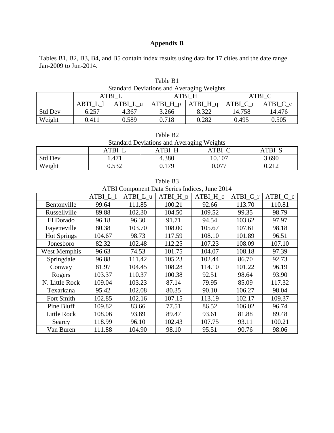## **Appendix B**

Tables B1, B2, B3, B4, and B5 contain index results using data for 17 cities and the date range Jan-2009 to Jun-2014.

| Standard Deviations and Averaging Weights |             |          |            |            |        |          |  |  |
|-------------------------------------------|-------------|----------|------------|------------|--------|----------|--|--|
|                                           | ATBI L      |          |            | ATBI H     | ATBI C |          |  |  |
|                                           | <b>ABTI</b> | ATBI L u | $ATBI_H_p$ | $ATBI_H_q$ | ATBI C | ATBI C c |  |  |
| <b>Std Dev</b>                            | 6.257       | 4.367    | 3.266      | 8.322      | 14.758 | 14.476   |  |  |
| Weight                                    | 0.411       | 0.589    | 0.718      | 0.282      | 0.495  | 0.505    |  |  |

Table B1 Standard Deviations and Averaging Weights

|                                                  | Table B <sub>2</sub> |  |  |
|--------------------------------------------------|----------------------|--|--|
| <b>Standard Deviations and Averaging Weights</b> |                      |  |  |
|                                                  |                      |  |  |

|                | $\Lambda$ TD <sup>T</sup> | <b>TR</b>    |        | TD             |
|----------------|---------------------------|--------------|--------|----------------|
| <b>Std Dev</b> | $.47^{\circ}$             | 4.380        | 10.107 | 3.690          |
| Weight         | $\Omega$ 532<br>U.JJ∠     | 0.170<br>∪.⊥ | 0.077  | 0.212<br>0.412 |

ATBI Component Data Series Indices, June 2014  $ATB1_L1$   $ATB1_Lu$   $ATB1_Hp$   $ATB1_Hq$   $ATB1_C_r$   $ATB1_Cc$ Bentonville 99.64 111.85 100.21 92.66 113.70 110.81 Russellville | 89.88 | 102.30 | 104.50 | 109.52 | 99.35 | 98.79 El Dorado | 96.18 | 96.30 | 91.71 | 94.54 | 103.62 | 97.97 Fayetteville | 80.38 | 103.70 | 108.00 | 105.67 | 107.61 | 98.18 Hot Springs 104.67 98.73 117.59 108.10 101.89 96.51 Jonesboro | 82.32 | 102.48 | 112.25 | 107.23 | 108.09 | 107.10 West Memphis | 96.63 | 74.53 | 101.75 | 104.07 | 108.18 | 97.39 Springdale 96.88 111.42 105.23 102.44 86.70 92.73 Conway | 81.97 | 104.45 | 108.28 | 114.10 | 101.22 | 96.19 Rogers | 103.37 | 110.37 | 100.38 | 92.51 | 98.64 | 93.90 N. Little Rock | 109.04 | 103.23 | 87.14 | 79.95 | 85.09 | 117.32 Texarkana | 95.42 | 102.08 | 80.35 | 90.10 | 106.27 | 98.04 Fort Smith 102.85 102.16 107.15 113.19 102.17 109.37 Pine Bluff | 109.82 | 83.66 | 77.51 | 86.52 | 106.02 | 96.74 Little Rock | 108.06 | 93.89 | 89.47 | 93.61 | 81.88 | 89.48 Searcy | 118.99 | 96.10 | 102.43 | 107.75 | 93.11 | 100.21 Van Buren | 111.88 | 104.90 | 98.10 | 95.51 | 90.76 | 98.06

Table B3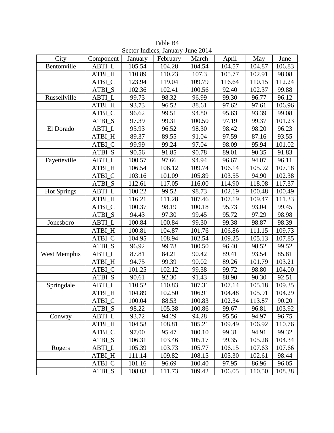|                     |               |         | $\text{S}\text{C}\text{C}\text{O}\text{I}$ mances, $\text{J}\text{a}$ and $\text{J}\text{S}\text{O}\text{I}$ and $\text{I}\text{O}\text{I}$ |        |        |        |        |
|---------------------|---------------|---------|---------------------------------------------------------------------------------------------------------------------------------------------|--------|--------|--------|--------|
| City                | Component     | January | February                                                                                                                                    | March  | April  | May    | June   |
| Bentonville         | <b>ABTI L</b> | 105.54  | 104.28                                                                                                                                      | 104.54 | 104.57 | 104.87 | 106.83 |
|                     | ATBI_H        | 110.89  | 110.23                                                                                                                                      | 107.3  | 105.77 | 102.91 | 98.08  |
|                     | ATBI_C        | 123.94  | 119.04                                                                                                                                      | 109.79 | 116.64 | 110.15 | 112.24 |
|                     | ATBI_S        | 102.36  | 102.41                                                                                                                                      | 100.56 | 92.40  | 102.37 | 99.88  |
| Russellville        | <b>ABTI_L</b> | 99.73   | 98.32                                                                                                                                       | 96.99  | 99.30  | 96.77  | 96.12  |
|                     | ATBI H        | 93.73   | 96.52                                                                                                                                       | 88.61  | 97.62  | 97.61  | 106.96 |
|                     | ATBI_C        | 96.62   | 99.51                                                                                                                                       | 94.80  | 95.63  | 93.39  | 99.08  |
|                     | ATBI_S        | 97.39   | 99.31                                                                                                                                       | 100.50 | 97.19  | 99.37  | 101.23 |
| El Dorado           | <b>ABTI_L</b> | 95.93   | 96.52                                                                                                                                       | 98.30  | 98.42  | 98.20  | 96.23  |
|                     | ATBI_H        | 89.37   | 89.55                                                                                                                                       | 91.04  | 97.59  | 87.16  | 93.55  |
|                     | ATBI_C        | 99.99   | 99.24                                                                                                                                       | 97.04  | 98.09  | 95.94  | 101.02 |
|                     | ATBI_S        | 90.56   | 91.85                                                                                                                                       | 90.78  | 89.01  | 90.35  | 91.83  |
| Fayetteville        | <b>ABTI_L</b> | 100.57  | 97.66                                                                                                                                       | 94.94  | 96.67  | 94.07  | 96.11  |
|                     | ATBI_H        | 106.54  | 106.12                                                                                                                                      | 109.74 | 106.14 | 105.92 | 107.18 |
|                     | ATBI C        | 103.16  | 101.09                                                                                                                                      | 105.89 | 103.55 | 94.90  | 102.38 |
|                     | ATBI S        | 112.61  | 117.05                                                                                                                                      | 116.00 | 114.90 | 118.08 | 117.37 |
| <b>Hot Springs</b>  | <b>ABTI_L</b> | 100.22  | 99.52                                                                                                                                       | 98.73  | 102.19 | 100.48 | 100.49 |
|                     | ATBI_H        | 116.21  | 111.28                                                                                                                                      | 107.46 | 107.19 | 109.47 | 111.33 |
|                     | ATBI_C        | 100.37  | 98.19                                                                                                                                       | 100.18 | 95.73  | 93.04  | 99.45  |
|                     | ATBI_S        | 94.43   | 97.30                                                                                                                                       | 99.45  | 95.72  | 97.29  | 98.98  |
| Jonesboro           | <b>ABTI_L</b> | 100.84  | 100.84                                                                                                                                      | 99.30  | 99.38  | 98.87  | 98.39  |
|                     | ATBI_H        | 100.81  | 104.87                                                                                                                                      | 101.76 | 106.86 | 111.15 | 109.73 |
|                     | ATBI_C        | 104.95  | 108.94                                                                                                                                      | 102.54 | 109.25 | 105.13 | 107.85 |
|                     | ATBI_S        | 96.92   | 99.78                                                                                                                                       | 100.50 | 96.40  | 98.52  | 99.52  |
| <b>West Memphis</b> | <b>ABTI_L</b> | 87.81   | 84.21                                                                                                                                       | 90.42  | 89.41  | 93.54  | 85.81  |
|                     | ATBI_H        | 94.75   | 99.39                                                                                                                                       | 90.02  | 89.26  | 101.79 | 103.21 |
|                     | ATBI C        | 101.25  | 102.12                                                                                                                                      | 99.38  | 99.72  | 98.80  | 104.00 |
|                     | ATBI_S        | 90.61   | 92.30                                                                                                                                       | 91.43  | 88.90  | 90.30  | 92.51  |
| Springdale          | <b>ABTI_L</b> | 110.52  | 110.83                                                                                                                                      | 107.31 | 107.14 | 105.18 | 109.35 |
|                     | ATBI H        | 104.89  | 102.50                                                                                                                                      | 106.91 | 104.48 | 105.91 | 104.29 |
|                     | ATBI_C        | 100.04  | 88.53                                                                                                                                       | 100.83 | 102.34 | 113.87 | 90.20  |
|                     | ATBI S        | 98.22   | 105.38                                                                                                                                      | 100.86 | 99.67  | 96.81  | 103.92 |
| Conway              | <b>ABTI_L</b> | 93.72   | 94.29                                                                                                                                       | 94.28  | 95.56  | 94.97  | 96.75  |
|                     | ATBI_H        | 104.58  | 108.81                                                                                                                                      | 105.21 | 109.49 | 106.92 | 110.76 |
|                     | ATBI C        | 97.00   | 95.47                                                                                                                                       | 100.10 | 99.31  | 94.91  | 99.32  |
|                     | ATBI S        | 106.31  | 103.46                                                                                                                                      | 105.17 | 99.35  | 105.28 | 104.34 |
| Rogers              | <b>ABTI L</b> | 105.39  | 103.73                                                                                                                                      | 105.77 | 106.15 | 107.63 | 107.66 |
|                     | ATBI_H        | 111.14  | 109.82                                                                                                                                      | 108.15 | 105.30 | 102.61 | 98.44  |
|                     | ATBI_C        | 101.16  | 96.69                                                                                                                                       | 100.40 | 97.95  | 86.96  | 96.05  |
|                     | ATBI_S        | 108.03  | 111.73                                                                                                                                      | 109.42 | 106.05 | 110.50 | 108.38 |

Table B4 Sector Indices, January-June 2014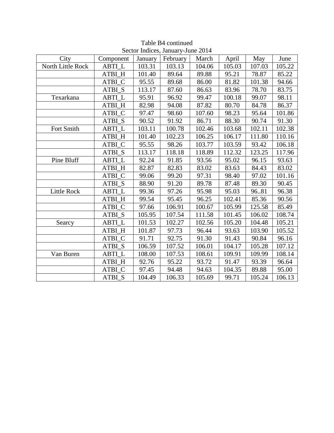| City               | Component         | January | $\frac{1}{2}$<br>February | March  | April  | May    | June   |
|--------------------|-------------------|---------|---------------------------|--------|--------|--------|--------|
| North Little Rock  | ABTI L            | 103.31  | 103.13                    | 104.06 | 105.03 | 107.03 | 105.22 |
|                    | ATBI H            | 101.40  | 89.64                     | 89.88  | 95.21  | 78.87  | 85.22  |
|                    | ATBI C            | 95.55   | 89.68                     | 86.00  | 81.82  | 101.38 | 94.66  |
|                    | ATBI_S            | 113.17  | 87.60                     | 86.63  | 83.96  | 78.70  | 83.75  |
| Texarkana          | <b>ABTI L</b>     | 95.91   | 96.92                     | 99.47  | 100.18 | 99.07  | 98.11  |
|                    | ATBI H            | 82.98   | 94.08                     | 87.82  | 80.70  | 84.78  | 86.37  |
|                    | ATBL <sub>C</sub> | 97.47   | 98.60                     | 107.60 | 98.23  | 95.64  | 101.86 |
|                    | ATBI S            | 90.52   | 91.92                     | 86.71  | 88.30  | 90.74  | 91.30  |
| Fort Smith         | ABTI L            | 103.11  | 100.78                    | 102.46 | 103.68 | 102.11 | 102.38 |
|                    | ATBI H            | 101.40  | 102.23                    | 106.25 | 106.17 | 111.80 | 110.16 |
|                    | ATBI C            | 95.55   | 98.26                     | 103.77 | 103.59 | 93.42  | 106.18 |
|                    | ATBI S            | 113.17  | 118.18                    | 118.89 | 112.32 | 123.25 | 117.96 |
| Pine Bluff         | ABTI L            | 92.24   | 91.85                     | 93.56  | 95.02  | 96.15  | 93.63  |
|                    | ATBI H            | 82.87   | 82.83                     | 83.02  | 83.63  | 84.43  | 83.02  |
|                    | ATBI C            | 99.06   | 99.20                     | 97.31  | 98.40  | 97.02  | 101.16 |
|                    | ATBI_S            | 88.90   | 91.20                     | 89.78  | 87.48  | 89.30  | 90.45  |
| <b>Little Rock</b> | <b>ABTI_L</b>     | 99.36   | 97.26                     | 95.98  | 95.03  | 9681   | 96.38  |
|                    | ATBI H            | 99.54   | 95.45                     | 96.25  | 102.41 | 85.36  | 90.56  |
|                    | ATBI C            | 97.66   | 106.91                    | 100.67 | 105.99 | 125.58 | 85.49  |
|                    | ATBI_S            | 105.95  | 107.54                    | 111.58 | 101.45 | 106.02 | 108.74 |
| Searcy             | <b>ABTI L</b>     | 101.53  | 102.27                    | 102.56 | 105.20 | 104.48 | 105.21 |
|                    | ATBI_H            | 101.87  | 97.73                     | 96.44  | 93.63  | 103.90 | 105.52 |
|                    | ATBI_C            | 91.71   | 92.75                     | 91.30  | 91.43  | 90.84  | 96.16  |
|                    | ATBI S            | 106.59  | 107.52                    | 106.01 | 104.17 | 105.28 | 107.12 |
| Van Buren          | <b>ABTI L</b>     | 108.00  | 107.53                    | 108.61 | 109.91 | 109.99 | 108.14 |
|                    | ATBI H            | 92.76   | 95.22                     | 93.72  | 91.47  | 93.39  | 96.64  |
|                    | ATBI C            | 97.45   | 94.48                     | 94.63  | 104.35 | 89.88  | 95.00  |
|                    | ATBI_S            | 104.49  | 106.33                    | 105.69 | 99.71  | 105.24 | 106.13 |

Table B4 continued Sector Indices, January-June 2014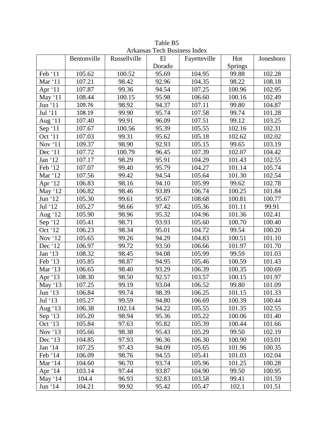| Hot<br>Bentonville<br>Russellville<br>E1<br>Jonesboro<br>Fayetteville<br>Dorado<br><b>Springs</b><br>95.69<br>Feb '11<br>105.62<br>100.52<br>104.95<br>99.88<br>102.28<br>Mar '11<br>107.21<br>98.42<br>92.96<br>104.35<br>98.22<br>108.18<br>Apr '11<br>107.87<br>99.36<br>94.54<br>107.25<br>100.96<br>102.95<br>May '11<br>95.98<br>108.44<br>100.15<br>106.60<br>102.49<br>100.16<br>Jun '11<br>94.37<br>107.11<br>99.80<br>109.76<br>98.92<br>104.87<br>Jul '11<br>108.19<br>99.90<br>95.74<br>107.58<br>99.74<br>101.28<br>Aug ' $1\overline{1}$<br>99.12<br>107.40<br>99.91<br>96.09<br>107.51<br>103.25<br>Sep '11<br>105.55<br>107.67<br>100.56<br>95.39<br>102.16<br>102.31<br>Oct '11<br>99.31<br>107.03<br>95.62<br>105.18<br>102.62<br>102.02<br>$\overline{\text{Nov}}$ '11<br>109.37<br>98.90<br>92.93<br>105.15<br>99.65<br>103.19<br>Dec '11<br>107.72<br>100.79<br>96.45<br>107.39<br>102.07<br>104.42<br>Jan '12<br>98.29<br>107.17<br>95.91<br>104.29<br>101.43<br>102.55<br>Feb '12<br>95.79<br>107.07<br>99.40<br>104.27<br>101.14<br>105.74<br>Mar '12<br>99.42<br>107.56<br>94.54<br>105.64<br>101.30<br>102.54<br>Apr '12<br>106.83<br>98.16<br>99.62<br>102.78<br>94.10<br>105.99<br>May $'12$<br>106.82<br>98.46<br>93.89<br>106.74<br>100.25<br>101.84<br>Jun '12<br>105.30<br>95.67<br>108.68<br>100.81<br>99.61<br>100.77<br>Jul '12<br>105.27<br>98.66<br>97.42<br>105.36<br>101.11<br>99.91<br>95.32<br>Aug $'12$<br>105.90<br>101.36<br>102.41<br>98.96<br>104.96<br>Sep '12<br>105.41<br>93.93<br>98.71<br>105.60<br>100.70<br>100.40<br>Oct '12<br>106.23<br>98.34<br>95.01<br>104.72<br>99.54<br>100.20<br>Nov '12<br>94.29<br>105.65<br>99.26<br>104.83<br>100.51<br>101.10<br>Dec '12<br>99.72<br>93.50<br>106.97<br>106.66<br>101.97<br>101.70<br>Jan '13<br>108.32<br>99.59<br>98.45<br>94.08<br>105.99<br>101.03<br>Feb '13<br>105.85<br>94.95<br>98.87<br>105.46<br>100.59<br>101.43<br>Mar '13<br>106.65<br>98.40<br>93.29<br>106.39<br>100.35<br>100.69<br>Apr '13<br>108.30<br>98.50<br>92.57<br>103.57<br>100.15<br>101.97<br>May $'13$<br>107.25<br>99.19<br>93.04<br>106.52<br>99.80<br>101.09<br>Jun '13<br>106.84<br>99.74<br>101.33<br>98.39<br>106.25<br>101.15<br>Jul '13<br>100.39<br>100.44<br>105.27<br>99.59<br>94.80<br>106.69<br>Aug $'13$<br>101.35<br>106.38<br>102.14<br>94.22<br>105.55<br>102.55<br>Sep '13<br>105.20<br>105.22<br>98.94<br>95.36<br>100.06<br>101.40<br>Oct '13<br>105.84<br>97.63<br>95.82<br>105.39<br>100.44<br>101.66<br>Nov '13<br>105.66<br>98.38<br>105.29<br>102.19<br>95.43<br>99.50<br>Dec '13<br>96.36<br>100.90<br>104.85<br>97.93<br>106.30<br>103.01<br>Jan '14<br>107.25<br>97.43<br>94.09<br>105.65<br>101.96<br>100.35<br>Feb '14<br>106.09<br>98.76<br>94.55<br>105.41<br>101.03<br>102.04<br>Mar '14<br>104.60<br>96.70<br>93.74<br>105.96<br>101.25<br>100.28<br>Apr '14<br>103.14<br>97.44<br>93.87<br>104.90<br>99.50<br>100.95<br>May '14<br>104.4<br>96.93<br>92.83<br>103.58<br>99.41<br>101.59<br>Jun '14<br>104.21<br>95.42<br>105.47<br>101.51<br>99.92<br>102.1 |  | THRAIDAS TUCH DUSHIUSS HIUUA |  |  |
|-------------------------------------------------------------------------------------------------------------------------------------------------------------------------------------------------------------------------------------------------------------------------------------------------------------------------------------------------------------------------------------------------------------------------------------------------------------------------------------------------------------------------------------------------------------------------------------------------------------------------------------------------------------------------------------------------------------------------------------------------------------------------------------------------------------------------------------------------------------------------------------------------------------------------------------------------------------------------------------------------------------------------------------------------------------------------------------------------------------------------------------------------------------------------------------------------------------------------------------------------------------------------------------------------------------------------------------------------------------------------------------------------------------------------------------------------------------------------------------------------------------------------------------------------------------------------------------------------------------------------------------------------------------------------------------------------------------------------------------------------------------------------------------------------------------------------------------------------------------------------------------------------------------------------------------------------------------------------------------------------------------------------------------------------------------------------------------------------------------------------------------------------------------------------------------------------------------------------------------------------------------------------------------------------------------------------------------------------------------------------------------------------------------------------------------------------------------------------------------------------------------------------------------------------------------------------------------------------------------------------------------------------------------------------------------------------------------------------------------------------------------------------------------------------------------------------------------------------------------------------------------------------------------------------------------------------------------------------------------------------------------------------------------------------------------------------------|--|------------------------------|--|--|
|                                                                                                                                                                                                                                                                                                                                                                                                                                                                                                                                                                                                                                                                                                                                                                                                                                                                                                                                                                                                                                                                                                                                                                                                                                                                                                                                                                                                                                                                                                                                                                                                                                                                                                                                                                                                                                                                                                                                                                                                                                                                                                                                                                                                                                                                                                                                                                                                                                                                                                                                                                                                                                                                                                                                                                                                                                                                                                                                                                                                                                                                               |  |                              |  |  |
|                                                                                                                                                                                                                                                                                                                                                                                                                                                                                                                                                                                                                                                                                                                                                                                                                                                                                                                                                                                                                                                                                                                                                                                                                                                                                                                                                                                                                                                                                                                                                                                                                                                                                                                                                                                                                                                                                                                                                                                                                                                                                                                                                                                                                                                                                                                                                                                                                                                                                                                                                                                                                                                                                                                                                                                                                                                                                                                                                                                                                                                                               |  |                              |  |  |
|                                                                                                                                                                                                                                                                                                                                                                                                                                                                                                                                                                                                                                                                                                                                                                                                                                                                                                                                                                                                                                                                                                                                                                                                                                                                                                                                                                                                                                                                                                                                                                                                                                                                                                                                                                                                                                                                                                                                                                                                                                                                                                                                                                                                                                                                                                                                                                                                                                                                                                                                                                                                                                                                                                                                                                                                                                                                                                                                                                                                                                                                               |  |                              |  |  |
|                                                                                                                                                                                                                                                                                                                                                                                                                                                                                                                                                                                                                                                                                                                                                                                                                                                                                                                                                                                                                                                                                                                                                                                                                                                                                                                                                                                                                                                                                                                                                                                                                                                                                                                                                                                                                                                                                                                                                                                                                                                                                                                                                                                                                                                                                                                                                                                                                                                                                                                                                                                                                                                                                                                                                                                                                                                                                                                                                                                                                                                                               |  |                              |  |  |
|                                                                                                                                                                                                                                                                                                                                                                                                                                                                                                                                                                                                                                                                                                                                                                                                                                                                                                                                                                                                                                                                                                                                                                                                                                                                                                                                                                                                                                                                                                                                                                                                                                                                                                                                                                                                                                                                                                                                                                                                                                                                                                                                                                                                                                                                                                                                                                                                                                                                                                                                                                                                                                                                                                                                                                                                                                                                                                                                                                                                                                                                               |  |                              |  |  |
|                                                                                                                                                                                                                                                                                                                                                                                                                                                                                                                                                                                                                                                                                                                                                                                                                                                                                                                                                                                                                                                                                                                                                                                                                                                                                                                                                                                                                                                                                                                                                                                                                                                                                                                                                                                                                                                                                                                                                                                                                                                                                                                                                                                                                                                                                                                                                                                                                                                                                                                                                                                                                                                                                                                                                                                                                                                                                                                                                                                                                                                                               |  |                              |  |  |
|                                                                                                                                                                                                                                                                                                                                                                                                                                                                                                                                                                                                                                                                                                                                                                                                                                                                                                                                                                                                                                                                                                                                                                                                                                                                                                                                                                                                                                                                                                                                                                                                                                                                                                                                                                                                                                                                                                                                                                                                                                                                                                                                                                                                                                                                                                                                                                                                                                                                                                                                                                                                                                                                                                                                                                                                                                                                                                                                                                                                                                                                               |  |                              |  |  |
|                                                                                                                                                                                                                                                                                                                                                                                                                                                                                                                                                                                                                                                                                                                                                                                                                                                                                                                                                                                                                                                                                                                                                                                                                                                                                                                                                                                                                                                                                                                                                                                                                                                                                                                                                                                                                                                                                                                                                                                                                                                                                                                                                                                                                                                                                                                                                                                                                                                                                                                                                                                                                                                                                                                                                                                                                                                                                                                                                                                                                                                                               |  |                              |  |  |
|                                                                                                                                                                                                                                                                                                                                                                                                                                                                                                                                                                                                                                                                                                                                                                                                                                                                                                                                                                                                                                                                                                                                                                                                                                                                                                                                                                                                                                                                                                                                                                                                                                                                                                                                                                                                                                                                                                                                                                                                                                                                                                                                                                                                                                                                                                                                                                                                                                                                                                                                                                                                                                                                                                                                                                                                                                                                                                                                                                                                                                                                               |  |                              |  |  |
|                                                                                                                                                                                                                                                                                                                                                                                                                                                                                                                                                                                                                                                                                                                                                                                                                                                                                                                                                                                                                                                                                                                                                                                                                                                                                                                                                                                                                                                                                                                                                                                                                                                                                                                                                                                                                                                                                                                                                                                                                                                                                                                                                                                                                                                                                                                                                                                                                                                                                                                                                                                                                                                                                                                                                                                                                                                                                                                                                                                                                                                                               |  |                              |  |  |
|                                                                                                                                                                                                                                                                                                                                                                                                                                                                                                                                                                                                                                                                                                                                                                                                                                                                                                                                                                                                                                                                                                                                                                                                                                                                                                                                                                                                                                                                                                                                                                                                                                                                                                                                                                                                                                                                                                                                                                                                                                                                                                                                                                                                                                                                                                                                                                                                                                                                                                                                                                                                                                                                                                                                                                                                                                                                                                                                                                                                                                                                               |  |                              |  |  |
|                                                                                                                                                                                                                                                                                                                                                                                                                                                                                                                                                                                                                                                                                                                                                                                                                                                                                                                                                                                                                                                                                                                                                                                                                                                                                                                                                                                                                                                                                                                                                                                                                                                                                                                                                                                                                                                                                                                                                                                                                                                                                                                                                                                                                                                                                                                                                                                                                                                                                                                                                                                                                                                                                                                                                                                                                                                                                                                                                                                                                                                                               |  |                              |  |  |
|                                                                                                                                                                                                                                                                                                                                                                                                                                                                                                                                                                                                                                                                                                                                                                                                                                                                                                                                                                                                                                                                                                                                                                                                                                                                                                                                                                                                                                                                                                                                                                                                                                                                                                                                                                                                                                                                                                                                                                                                                                                                                                                                                                                                                                                                                                                                                                                                                                                                                                                                                                                                                                                                                                                                                                                                                                                                                                                                                                                                                                                                               |  |                              |  |  |
|                                                                                                                                                                                                                                                                                                                                                                                                                                                                                                                                                                                                                                                                                                                                                                                                                                                                                                                                                                                                                                                                                                                                                                                                                                                                                                                                                                                                                                                                                                                                                                                                                                                                                                                                                                                                                                                                                                                                                                                                                                                                                                                                                                                                                                                                                                                                                                                                                                                                                                                                                                                                                                                                                                                                                                                                                                                                                                                                                                                                                                                                               |  |                              |  |  |
|                                                                                                                                                                                                                                                                                                                                                                                                                                                                                                                                                                                                                                                                                                                                                                                                                                                                                                                                                                                                                                                                                                                                                                                                                                                                                                                                                                                                                                                                                                                                                                                                                                                                                                                                                                                                                                                                                                                                                                                                                                                                                                                                                                                                                                                                                                                                                                                                                                                                                                                                                                                                                                                                                                                                                                                                                                                                                                                                                                                                                                                                               |  |                              |  |  |
|                                                                                                                                                                                                                                                                                                                                                                                                                                                                                                                                                                                                                                                                                                                                                                                                                                                                                                                                                                                                                                                                                                                                                                                                                                                                                                                                                                                                                                                                                                                                                                                                                                                                                                                                                                                                                                                                                                                                                                                                                                                                                                                                                                                                                                                                                                                                                                                                                                                                                                                                                                                                                                                                                                                                                                                                                                                                                                                                                                                                                                                                               |  |                              |  |  |
|                                                                                                                                                                                                                                                                                                                                                                                                                                                                                                                                                                                                                                                                                                                                                                                                                                                                                                                                                                                                                                                                                                                                                                                                                                                                                                                                                                                                                                                                                                                                                                                                                                                                                                                                                                                                                                                                                                                                                                                                                                                                                                                                                                                                                                                                                                                                                                                                                                                                                                                                                                                                                                                                                                                                                                                                                                                                                                                                                                                                                                                                               |  |                              |  |  |
|                                                                                                                                                                                                                                                                                                                                                                                                                                                                                                                                                                                                                                                                                                                                                                                                                                                                                                                                                                                                                                                                                                                                                                                                                                                                                                                                                                                                                                                                                                                                                                                                                                                                                                                                                                                                                                                                                                                                                                                                                                                                                                                                                                                                                                                                                                                                                                                                                                                                                                                                                                                                                                                                                                                                                                                                                                                                                                                                                                                                                                                                               |  |                              |  |  |
|                                                                                                                                                                                                                                                                                                                                                                                                                                                                                                                                                                                                                                                                                                                                                                                                                                                                                                                                                                                                                                                                                                                                                                                                                                                                                                                                                                                                                                                                                                                                                                                                                                                                                                                                                                                                                                                                                                                                                                                                                                                                                                                                                                                                                                                                                                                                                                                                                                                                                                                                                                                                                                                                                                                                                                                                                                                                                                                                                                                                                                                                               |  |                              |  |  |
|                                                                                                                                                                                                                                                                                                                                                                                                                                                                                                                                                                                                                                                                                                                                                                                                                                                                                                                                                                                                                                                                                                                                                                                                                                                                                                                                                                                                                                                                                                                                                                                                                                                                                                                                                                                                                                                                                                                                                                                                                                                                                                                                                                                                                                                                                                                                                                                                                                                                                                                                                                                                                                                                                                                                                                                                                                                                                                                                                                                                                                                                               |  |                              |  |  |
|                                                                                                                                                                                                                                                                                                                                                                                                                                                                                                                                                                                                                                                                                                                                                                                                                                                                                                                                                                                                                                                                                                                                                                                                                                                                                                                                                                                                                                                                                                                                                                                                                                                                                                                                                                                                                                                                                                                                                                                                                                                                                                                                                                                                                                                                                                                                                                                                                                                                                                                                                                                                                                                                                                                                                                                                                                                                                                                                                                                                                                                                               |  |                              |  |  |
|                                                                                                                                                                                                                                                                                                                                                                                                                                                                                                                                                                                                                                                                                                                                                                                                                                                                                                                                                                                                                                                                                                                                                                                                                                                                                                                                                                                                                                                                                                                                                                                                                                                                                                                                                                                                                                                                                                                                                                                                                                                                                                                                                                                                                                                                                                                                                                                                                                                                                                                                                                                                                                                                                                                                                                                                                                                                                                                                                                                                                                                                               |  |                              |  |  |
|                                                                                                                                                                                                                                                                                                                                                                                                                                                                                                                                                                                                                                                                                                                                                                                                                                                                                                                                                                                                                                                                                                                                                                                                                                                                                                                                                                                                                                                                                                                                                                                                                                                                                                                                                                                                                                                                                                                                                                                                                                                                                                                                                                                                                                                                                                                                                                                                                                                                                                                                                                                                                                                                                                                                                                                                                                                                                                                                                                                                                                                                               |  |                              |  |  |
|                                                                                                                                                                                                                                                                                                                                                                                                                                                                                                                                                                                                                                                                                                                                                                                                                                                                                                                                                                                                                                                                                                                                                                                                                                                                                                                                                                                                                                                                                                                                                                                                                                                                                                                                                                                                                                                                                                                                                                                                                                                                                                                                                                                                                                                                                                                                                                                                                                                                                                                                                                                                                                                                                                                                                                                                                                                                                                                                                                                                                                                                               |  |                              |  |  |
|                                                                                                                                                                                                                                                                                                                                                                                                                                                                                                                                                                                                                                                                                                                                                                                                                                                                                                                                                                                                                                                                                                                                                                                                                                                                                                                                                                                                                                                                                                                                                                                                                                                                                                                                                                                                                                                                                                                                                                                                                                                                                                                                                                                                                                                                                                                                                                                                                                                                                                                                                                                                                                                                                                                                                                                                                                                                                                                                                                                                                                                                               |  |                              |  |  |
|                                                                                                                                                                                                                                                                                                                                                                                                                                                                                                                                                                                                                                                                                                                                                                                                                                                                                                                                                                                                                                                                                                                                                                                                                                                                                                                                                                                                                                                                                                                                                                                                                                                                                                                                                                                                                                                                                                                                                                                                                                                                                                                                                                                                                                                                                                                                                                                                                                                                                                                                                                                                                                                                                                                                                                                                                                                                                                                                                                                                                                                                               |  |                              |  |  |
|                                                                                                                                                                                                                                                                                                                                                                                                                                                                                                                                                                                                                                                                                                                                                                                                                                                                                                                                                                                                                                                                                                                                                                                                                                                                                                                                                                                                                                                                                                                                                                                                                                                                                                                                                                                                                                                                                                                                                                                                                                                                                                                                                                                                                                                                                                                                                                                                                                                                                                                                                                                                                                                                                                                                                                                                                                                                                                                                                                                                                                                                               |  |                              |  |  |
|                                                                                                                                                                                                                                                                                                                                                                                                                                                                                                                                                                                                                                                                                                                                                                                                                                                                                                                                                                                                                                                                                                                                                                                                                                                                                                                                                                                                                                                                                                                                                                                                                                                                                                                                                                                                                                                                                                                                                                                                                                                                                                                                                                                                                                                                                                                                                                                                                                                                                                                                                                                                                                                                                                                                                                                                                                                                                                                                                                                                                                                                               |  |                              |  |  |
|                                                                                                                                                                                                                                                                                                                                                                                                                                                                                                                                                                                                                                                                                                                                                                                                                                                                                                                                                                                                                                                                                                                                                                                                                                                                                                                                                                                                                                                                                                                                                                                                                                                                                                                                                                                                                                                                                                                                                                                                                                                                                                                                                                                                                                                                                                                                                                                                                                                                                                                                                                                                                                                                                                                                                                                                                                                                                                                                                                                                                                                                               |  |                              |  |  |
|                                                                                                                                                                                                                                                                                                                                                                                                                                                                                                                                                                                                                                                                                                                                                                                                                                                                                                                                                                                                                                                                                                                                                                                                                                                                                                                                                                                                                                                                                                                                                                                                                                                                                                                                                                                                                                                                                                                                                                                                                                                                                                                                                                                                                                                                                                                                                                                                                                                                                                                                                                                                                                                                                                                                                                                                                                                                                                                                                                                                                                                                               |  |                              |  |  |
|                                                                                                                                                                                                                                                                                                                                                                                                                                                                                                                                                                                                                                                                                                                                                                                                                                                                                                                                                                                                                                                                                                                                                                                                                                                                                                                                                                                                                                                                                                                                                                                                                                                                                                                                                                                                                                                                                                                                                                                                                                                                                                                                                                                                                                                                                                                                                                                                                                                                                                                                                                                                                                                                                                                                                                                                                                                                                                                                                                                                                                                                               |  |                              |  |  |
|                                                                                                                                                                                                                                                                                                                                                                                                                                                                                                                                                                                                                                                                                                                                                                                                                                                                                                                                                                                                                                                                                                                                                                                                                                                                                                                                                                                                                                                                                                                                                                                                                                                                                                                                                                                                                                                                                                                                                                                                                                                                                                                                                                                                                                                                                                                                                                                                                                                                                                                                                                                                                                                                                                                                                                                                                                                                                                                                                                                                                                                                               |  |                              |  |  |
|                                                                                                                                                                                                                                                                                                                                                                                                                                                                                                                                                                                                                                                                                                                                                                                                                                                                                                                                                                                                                                                                                                                                                                                                                                                                                                                                                                                                                                                                                                                                                                                                                                                                                                                                                                                                                                                                                                                                                                                                                                                                                                                                                                                                                                                                                                                                                                                                                                                                                                                                                                                                                                                                                                                                                                                                                                                                                                                                                                                                                                                                               |  |                              |  |  |
|                                                                                                                                                                                                                                                                                                                                                                                                                                                                                                                                                                                                                                                                                                                                                                                                                                                                                                                                                                                                                                                                                                                                                                                                                                                                                                                                                                                                                                                                                                                                                                                                                                                                                                                                                                                                                                                                                                                                                                                                                                                                                                                                                                                                                                                                                                                                                                                                                                                                                                                                                                                                                                                                                                                                                                                                                                                                                                                                                                                                                                                                               |  |                              |  |  |
|                                                                                                                                                                                                                                                                                                                                                                                                                                                                                                                                                                                                                                                                                                                                                                                                                                                                                                                                                                                                                                                                                                                                                                                                                                                                                                                                                                                                                                                                                                                                                                                                                                                                                                                                                                                                                                                                                                                                                                                                                                                                                                                                                                                                                                                                                                                                                                                                                                                                                                                                                                                                                                                                                                                                                                                                                                                                                                                                                                                                                                                                               |  |                              |  |  |
|                                                                                                                                                                                                                                                                                                                                                                                                                                                                                                                                                                                                                                                                                                                                                                                                                                                                                                                                                                                                                                                                                                                                                                                                                                                                                                                                                                                                                                                                                                                                                                                                                                                                                                                                                                                                                                                                                                                                                                                                                                                                                                                                                                                                                                                                                                                                                                                                                                                                                                                                                                                                                                                                                                                                                                                                                                                                                                                                                                                                                                                                               |  |                              |  |  |
|                                                                                                                                                                                                                                                                                                                                                                                                                                                                                                                                                                                                                                                                                                                                                                                                                                                                                                                                                                                                                                                                                                                                                                                                                                                                                                                                                                                                                                                                                                                                                                                                                                                                                                                                                                                                                                                                                                                                                                                                                                                                                                                                                                                                                                                                                                                                                                                                                                                                                                                                                                                                                                                                                                                                                                                                                                                                                                                                                                                                                                                                               |  |                              |  |  |
|                                                                                                                                                                                                                                                                                                                                                                                                                                                                                                                                                                                                                                                                                                                                                                                                                                                                                                                                                                                                                                                                                                                                                                                                                                                                                                                                                                                                                                                                                                                                                                                                                                                                                                                                                                                                                                                                                                                                                                                                                                                                                                                                                                                                                                                                                                                                                                                                                                                                                                                                                                                                                                                                                                                                                                                                                                                                                                                                                                                                                                                                               |  |                              |  |  |
|                                                                                                                                                                                                                                                                                                                                                                                                                                                                                                                                                                                                                                                                                                                                                                                                                                                                                                                                                                                                                                                                                                                                                                                                                                                                                                                                                                                                                                                                                                                                                                                                                                                                                                                                                                                                                                                                                                                                                                                                                                                                                                                                                                                                                                                                                                                                                                                                                                                                                                                                                                                                                                                                                                                                                                                                                                                                                                                                                                                                                                                                               |  |                              |  |  |
|                                                                                                                                                                                                                                                                                                                                                                                                                                                                                                                                                                                                                                                                                                                                                                                                                                                                                                                                                                                                                                                                                                                                                                                                                                                                                                                                                                                                                                                                                                                                                                                                                                                                                                                                                                                                                                                                                                                                                                                                                                                                                                                                                                                                                                                                                                                                                                                                                                                                                                                                                                                                                                                                                                                                                                                                                                                                                                                                                                                                                                                                               |  |                              |  |  |
|                                                                                                                                                                                                                                                                                                                                                                                                                                                                                                                                                                                                                                                                                                                                                                                                                                                                                                                                                                                                                                                                                                                                                                                                                                                                                                                                                                                                                                                                                                                                                                                                                                                                                                                                                                                                                                                                                                                                                                                                                                                                                                                                                                                                                                                                                                                                                                                                                                                                                                                                                                                                                                                                                                                                                                                                                                                                                                                                                                                                                                                                               |  |                              |  |  |
|                                                                                                                                                                                                                                                                                                                                                                                                                                                                                                                                                                                                                                                                                                                                                                                                                                                                                                                                                                                                                                                                                                                                                                                                                                                                                                                                                                                                                                                                                                                                                                                                                                                                                                                                                                                                                                                                                                                                                                                                                                                                                                                                                                                                                                                                                                                                                                                                                                                                                                                                                                                                                                                                                                                                                                                                                                                                                                                                                                                                                                                                               |  |                              |  |  |
|                                                                                                                                                                                                                                                                                                                                                                                                                                                                                                                                                                                                                                                                                                                                                                                                                                                                                                                                                                                                                                                                                                                                                                                                                                                                                                                                                                                                                                                                                                                                                                                                                                                                                                                                                                                                                                                                                                                                                                                                                                                                                                                                                                                                                                                                                                                                                                                                                                                                                                                                                                                                                                                                                                                                                                                                                                                                                                                                                                                                                                                                               |  |                              |  |  |

Table B5 Arkansas Tech Business Index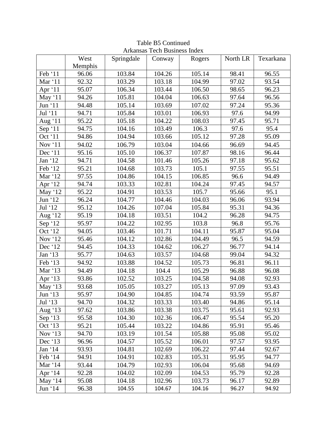|            |         |            | AIRalisas Tech Dusilicss Index |        |          |           |
|------------|---------|------------|--------------------------------|--------|----------|-----------|
|            | West    | Springdale | Conway                         | Rogers | North LR | Texarkana |
|            | Memphis |            |                                |        |          |           |
| Feb '11    | 96.06   | 103.84     | 104.26                         | 105.14 | 98.41    | 96.55     |
| Mar '11    | 92.32   | 103.29     | 103.18                         | 104.99 | 97.02    | 93.54     |
| Apr '11    | 95.07   | 106.34     | 103.44                         | 106.50 | 98.65    | 96.23     |
| May '11    | 94.26   | 105.81     | 104.04                         | 106.63 | 97.64    | 96.56     |
| Jun '11    | 94.48   | 105.14     | 103.69                         | 107.02 | 97.24    | 95.36     |
| Jul '11    | 94.71   | 105.84     | 103.01                         | 106.93 | 97.6     | 94.99     |
| Aug ' $11$ | 95.22   | 105.18     | 104.22                         | 108.03 | 97.45    | 95.71     |
| Sep '11    | 94.75   | 104.16     | 103.49                         | 106.3  | 97.6     | 95.4      |
| Oct '11    | 94.86   | 104.94     | 103.66                         | 105.12 | 97.28    | 95.09     |
| Nov '11    | 94.02   | 106.79     | 103.04                         | 104.66 | 96.69    | 94.45     |
| Dec '11    | 95.16   | 105.10     | 106.37                         | 107.87 | 98.16    | 96.44     |
| Jan '12    | 94.71   | 104.58     | 101.46                         | 105.26 | 97.18    | 95.62     |
| Feb '12    | 95.21   | 104.68     | 103.73                         | 105.1  | 97.55    | 95.51     |
| Mar '12    | 97.55   | 104.86     | 104.15                         | 106.85 | 96.6     | 94.49     |
| Apr '12    | 94.74   | 103.33     | 102.81                         | 104.24 | 97.45    | 94.57     |
| May '12    | 95.22   | 104.91     | 103.53                         | 105.7  | 95.66    | 95.1      |
| Jun '12    | 96.24   | 104.77     | 104.46                         | 104.03 | 96.06    | 93.94     |
| Jul '12    | 95.12   | 104.26     | 107.04                         | 105.84 | 95.31    | 94.36     |
| Aug '12    | 95.19   | 104.18     | 103.51                         | 104.2  | 96.28    | 94.75     |
| Sep '12    | 95.97   | 104.22     | 102.95                         | 103.8  | 96.8     | 95.76     |
| Oct '12    | 94.05   | 103.46     | 101.71                         | 104.11 | 95.87    | 95.04     |
| Nov '12    | 95.46   | 104.12     | 102.86                         | 104.49 | 96.5     | 94.59     |
| Dec '12    | 94.45   | 104.33     | 104.62                         | 106.27 | 96.77    | 94.14     |
| Jan '13    | 95.77   | 104.63     | 103.57                         | 104.68 | 99.04    | 94.32     |
| Feb '13    | 94.92   | 103.88     | 104.52                         | 105.73 | 96.81    | 96.11     |
| Mar '13    | 94.49   | 104.18     | 104.4                          | 105.29 | 96.88    | 96.08     |
| Apr '13    | 93.86   | 102.52     | 103.25                         | 104.58 | 94.08    | 92.93     |
| May '13    | 93.68   | 105.05     | 103.27                         | 105.13 | 97.09    | 93.43     |
| Jun '13    | 95.97   | 104.90     | 104.85                         | 104.74 | 93.59    | 95.87     |
| Jul '13    | 94.70   | 104.32     | 103.33                         | 103.40 | 94.86    | 95.14     |
| Aug '13    | 97.62   | 103.86     | 103.38                         | 103.75 | 95.61    | 92.93     |
| Sep '13    | 95.58   | 104.30     | 102.36                         | 106.47 | 95.54    | 95.20     |
| Oct '13    | 95.21   | 105.44     | 103.22                         | 104.86 | 95.91    | 95.46     |
| Nov $13$   | 94.70   | 103.19     | 101.54                         | 105.88 | 95.08    | 95.02     |
| Dec '13    | 96.96   | 104.57     | 105.52                         | 106.01 | 97.57    | 93.95     |
| Jan '14    | 93.93   | 104.81     | 102.69                         | 106.22 | 97.44    | 92.67     |
| Feb '14    | 94.91   | 104.91     | 102.83                         | 105.31 | 95.95    | 94.77     |
| Mar '14    | 93.44   | 104.79     | 102.93                         | 106.04 | 95.68    | 94.69     |
| Apr '14    | 92.28   | 104.02     | 102.09                         | 104.53 | 95.79    | 92.28     |
| May '14    | 95.08   | 104.18     | 102.96                         | 103.73 | 96.17    | 92.89     |
| Jun '14    | 96.38   | 104.55     | 104.67                         | 104.16 | 96.27    | 94.92     |
|            |         |            |                                |        |          |           |

Table B5 Continued Arkansas Tech Business Index